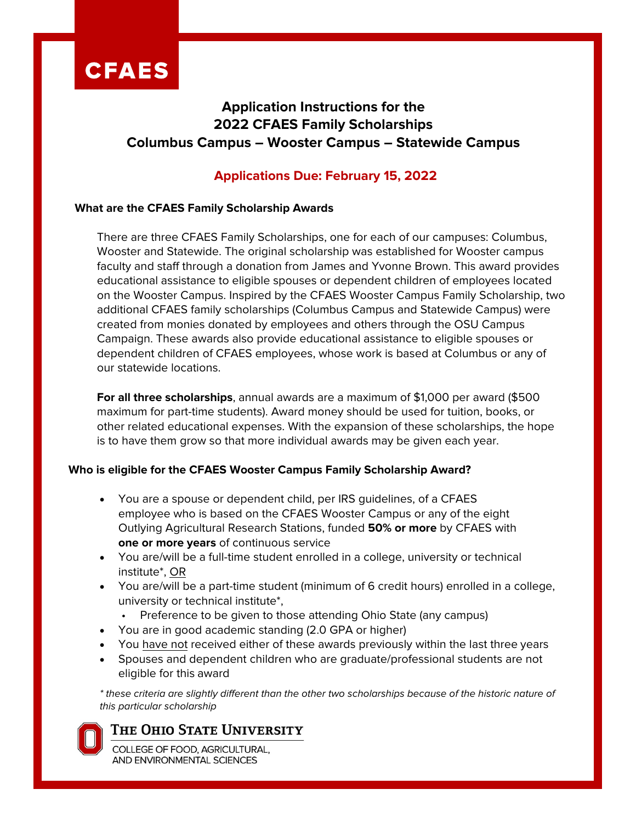

## **Application Instructions for the 2022 CFAES Family Scholarships Columbus Campus – Wooster Campus – Statewide Campus**

## **Applications Due: February 15, 2022**

### **What are the CFAES Family Scholarship Awards**

There are three CFAES Family Scholarships, one for each of our campuses: Columbus, Wooster and Statewide. The original scholarship was established for Wooster campus faculty and staff through a donation from James and Yvonne Brown. This award provides educational assistance to eligible spouses or dependent children of employees located on the Wooster Campus. Inspired by the CFAES Wooster Campus Family Scholarship, two additional CFAES family scholarships (Columbus Campus and Statewide Campus) were created from monies donated by employees and others through the OSU Campus Campaign. These awards also provide educational assistance to eligible spouses or dependent children of CFAES employees, whose work is based at Columbus or any of our statewide locations.

**For all three scholarships**, annual awards are a maximum of \$1,000 per award (\$500 maximum for part-time students). Award money should be used for tuition, books, or other related educational expenses. With the expansion of these scholarships, the hope is to have them grow so that more individual awards may be given each year.

#### **Who is eligible for the CFAES Wooster Campus Family Scholarship Award?**

- You are a spouse or dependent child, per IRS guidelines, of a CFAES employee who is based on the CFAES Wooster Campus or any of the eight Outlying Agricultural Research Stations, funded **50% or more** by CFAES with **one or more years** of continuous service
- You are/will be a full-time student enrolled in a college, university or technical institute\*, OR
- You are/will be a part-time student (minimum of 6 credit hours) enrolled in a college, university or technical institute\*,
	- Preference to be given to those attending Ohio State (any campus)
- You are in good academic standing (2.0 GPA or higher)
- You have not received either of these awards previously within the last three years
- Spouses and dependent children who are graduate/professional students are not eligible for this award

\* these criteria are slightly different than the other two scholarships because of the historic nature of this particular scholarship

## THE OHIO STATE UNIVERSITY

COLLEGE OF FOOD, AGRICULTURAL, AND ENVIRONMENTAL SCIENCES